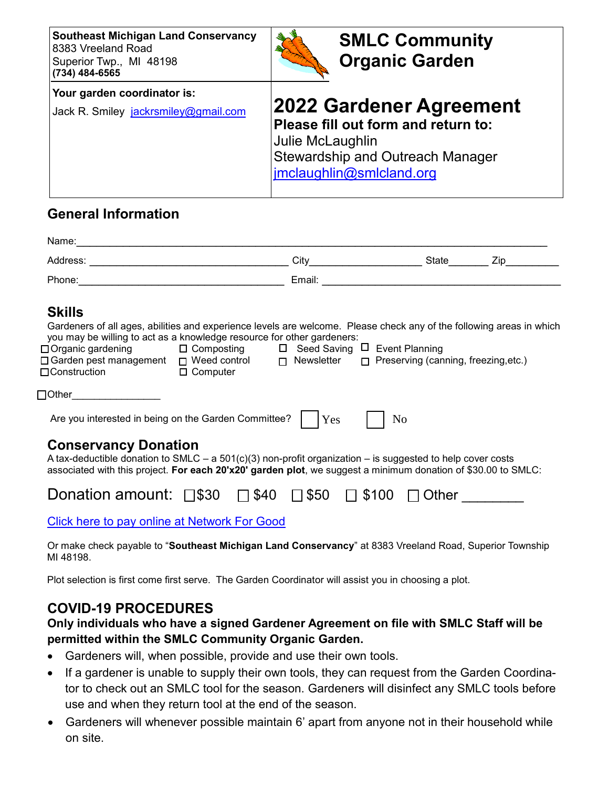| <b>Southeast Michigan Land Conservancy</b><br>8383 Vreeland Road<br>Superior Twp., MI 48198<br>(734) 484-6565 | <b>SMLC Community</b><br><b>Organic Garden</b>                                                                                                                   |
|---------------------------------------------------------------------------------------------------------------|------------------------------------------------------------------------------------------------------------------------------------------------------------------|
| Your garden coordinator is:<br>Jack R. Smiley jackrsmiley@gmail.com                                           | <b>2022 Gardener Agreement</b><br>Please fill out form and return to:<br>Julie McLaughlin<br><b>Stewardship and Outreach Manager</b><br>jmclaughlin@smlcland.org |

## **General Information**

| <b>Skills</b><br>Gardeners of all ages, abilities and experience levels are welcome. Please check any of the following areas in which<br>you may be willing to act as a knowledge resource for other gardeners:<br>□ Organic gardening □ Composting □ Seed Saving □ Event Planning<br>□ Garden pest management □ Weed control □ Newsletter □ Preserving (canning, freezing, etc.)<br>□ Construction □ Computer |                |  |
|----------------------------------------------------------------------------------------------------------------------------------------------------------------------------------------------------------------------------------------------------------------------------------------------------------------------------------------------------------------------------------------------------------------|----------------|--|
| $\Box$ Other $\Box$                                                                                                                                                                                                                                                                                                                                                                                            |                |  |
| Are you interested in being on the Garden Committee? $ $   $Y$ es                                                                                                                                                                                                                                                                                                                                              | N <sub>0</sub> |  |
| <b>Conservancy Donation</b><br>A tax-deductible donation to SMLC – a 501(c)(3) non-profit organization – is suggested to help cover costs<br>associated with this project. For each 20'x20' garden plot, we suggest a minimum donation of \$30.00 to SMLC:                                                                                                                                                     |                |  |
| Donation amount: $\Box$ \$30 $\Box$ \$40 $\Box$ \$50 $\Box$ \$100 $\Box$ Other                                                                                                                                                                                                                                                                                                                                 |                |  |
| <b>Click here to pay online at Network For Good</b>                                                                                                                                                                                                                                                                                                                                                            |                |  |

Or make check payable to "**Southeast Michigan Land Conservancy**" at 8383 Vreeland Road, Superior Township MI 48198.

Plot selection is first come first serve. The Garden Coordinator will assist you in choosing a plot.

## **COVID-19 PROCEDURES**

## **Only individuals who have a signed Gardener Agreement on file with SMLC Staff will be permitted within the SMLC Community Organic Garden.**

- Gardeners will, when possible, provide and use their own tools.
- If a gardener is unable to supply their own tools, they can request from the Garden Coordinator to check out an SMLC tool for the season. Gardeners will disinfect any SMLC tools before use and when they return tool at the end of the season.
- Gardeners will whenever possible maintain 6' apart from anyone not in their household while on site.